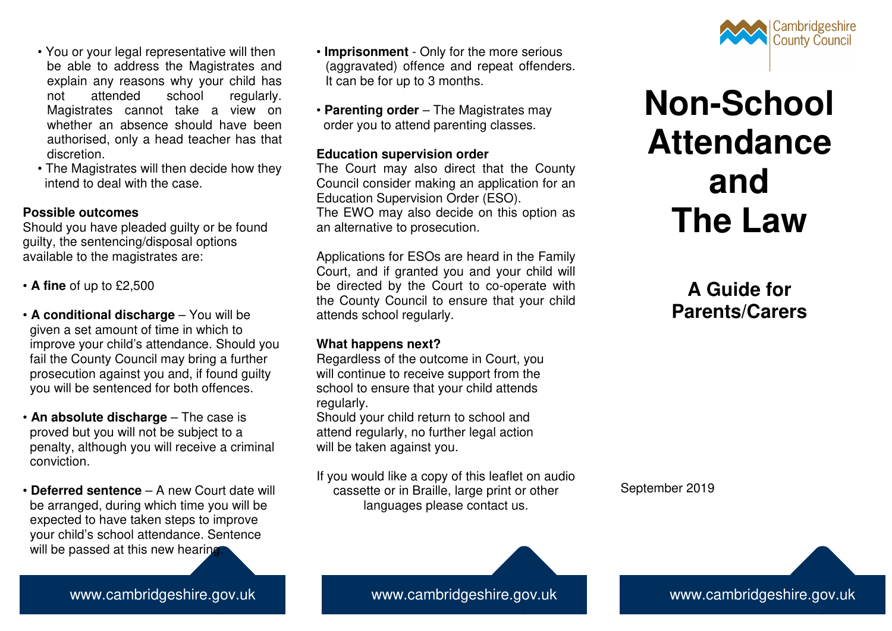- You or your legal representative will then be able to address the Magistrates and explain any reasons why your child has not attended school regularly. Magistrates cannot take a view on whether an absence should have been authorised, only a head teacher has that discretion.
- The Magistrates will then decide how they intend to deal with the case.

# **Possible outcomes**

 Should you have pleaded guilty or be found guilty, the sentencing/disposal options available to the magistrates are:

- **A fine** of up to £2,500
- **A conditional discharge**  You will be given a set amount of time in which to improve your child's attendance. Should you fail the County Council may bring a further prosecution against you and, if found guilty you will be sentenced for both offences.
- **An absolute discharge** The case is proved but you will not be subject to a penalty, although you will receive a criminal conviction.
- **Deferred sentence**  A new Court date will be arranged, during which time you will be expected to have taken steps to improve your child's school attendance. Sentence will be passed at this new hearing.
- **Imprisonment**  Only for the more serious (aggravated) offence and repeat offenders. It can be for up to 3 months.
- **Parenting order**  The Magistrates may order you to attend parenting classes.

# **Education supervision order**

 The Court may also direct that the County Council consider making an application for an Education Supervision Order (ESO). The EWO may also decide on this option as an alternative to prosecution.

Applications for ESOs are heard in the Family Court, and if granted you and your child will be directed by the Court to co-operate with the County Council to ensure that your child attends school regularly.

# **What happens next?**

 Regardless of the outcome in Court, you will continue to receive support from the school to ensure that your child attends regularly.

 Should your child return to school and attend regularly, no further legal action will be taken against you.

If you would like a copy of this leaflet on audio cassette or in Braille, large print or other languages please contact us.



# **Non-School Attendance and The Law**

# **A Guide for Parents/Carers**

September 2019

www.cambridgeshire.gov.uk www.cambridgeshire.gov.uk